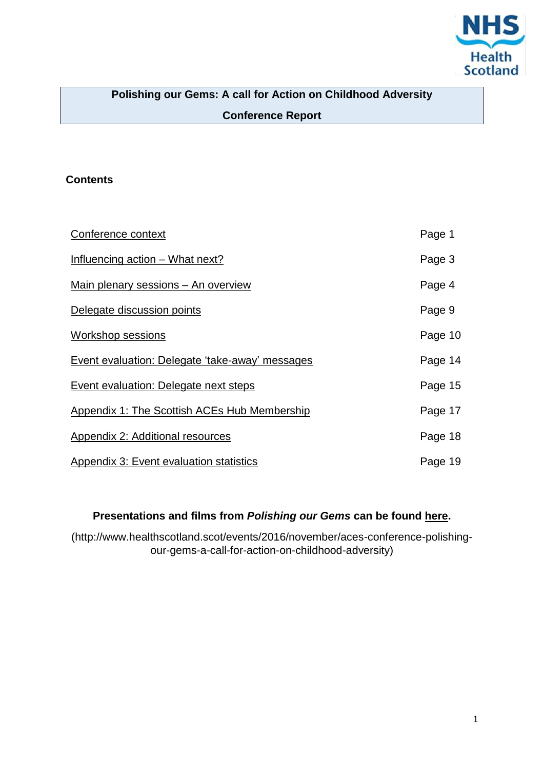

# **Polishing our Gems: A call for Action on Childhood Adversity Conference Report**

## **Contents**

| Conference context                              | Page 1  |
|-------------------------------------------------|---------|
| Influencing action - What next?                 | Page 3  |
| Main plenary sessions - An overview             | Page 4  |
| Delegate discussion points                      | Page 9  |
| Workshop sessions                               | Page 10 |
| Event evaluation: Delegate 'take-away' messages | Page 14 |
| Event evaluation: Delegate next steps           | Page 15 |
| Appendix 1: The Scottish ACEs Hub Membership    | Page 17 |
| Appendix 2: Additional resources                | Page 18 |
| Appendix 3: Event evaluation statistics         | Page 19 |

## **Presentations and films from** *Polishing our Gems* **can be found [here.](http://www.healthscotland.scot/events/2016/november/aces-conference-polishing-our-gems-a-call-for-action-on-childhood-adversity)**

(http://www.healthscotland.scot/events/2016/november/aces-conference-polishingour-gems-a-call-for-action-on-childhood-adversity)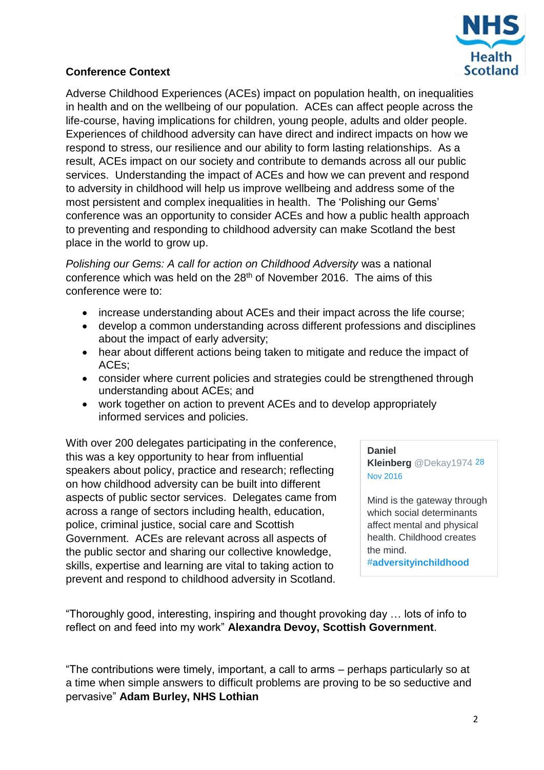

## <span id="page-1-0"></span>**Conference Context**

Adverse Childhood Experiences (ACEs) impact on population health, on inequalities in health and on the wellbeing of our population. ACEs can affect people across the life-course, having implications for children, young people, adults and older people. Experiences of childhood adversity can have direct and indirect impacts on how we respond to stress, our resilience and our ability to form lasting relationships. As a result, ACEs impact on our society and contribute to demands across all our public services. Understanding the impact of ACEs and how we can prevent and respond to adversity in childhood will help us improve wellbeing and address some of the most persistent and complex inequalities in health. The 'Polishing our Gems' conference was an opportunity to consider ACEs and how a public health approach to preventing and responding to childhood adversity can make Scotland the best place in the world to grow up.

*Polishing our Gems: A call for action on Childhood Adversity was a national* conference which was held on the 28<sup>th</sup> of November 2016. The aims of this conference were to:

- increase understanding about ACEs and their impact across the life course;
- develop a common understanding across different professions and disciplines about the impact of early adversity;
- hear about different actions being taken to mitigate and reduce the impact of ACEs;
- consider where current policies and strategies could be strengthened through understanding about ACEs; and
- work together on action to prevent ACEs and to develop appropriately informed services and policies.

With over 200 delegates participating in the conference, this was a key opportunity to hear from influential speakers about policy, practice and research; reflecting on how childhood adversity can be built into different aspects of public sector services. Delegates came from across a range of sectors including health, education, police, criminal justice, social care and Scottish Government. ACEs are relevant across all aspects of the public sector and sharing our collective knowledge, skills, expertise and learning are vital to taking action to prevent and respond to childhood adversity in Scotland.

**[Daniel](https://twitter.com/Dekay1974)  Kleinberg** [@Dekay1974](https://twitter.com/Dekay1974) [28](https://twitter.com/Dekay1974/status/803173094278000640)  [Nov 2016](https://twitter.com/Dekay1974/status/803173094278000640)

Mind is the gateway through which social determinants affect mental and physical health. Childhood creates the mind. #**[adversityinchildhood](https://twitter.com/hashtag/adversityinchildhood?src=hash)**

"Thoroughly good, interesting, inspiring and thought provoking day … lots of info to reflect on and feed into my work" **Alexandra Devoy, Scottish Government**.

"The contributions were timely, important, a call to arms – perhaps particularly so at a time when simple answers to difficult problems are proving to be so seductive and pervasive" **Adam Burley, NHS Lothian**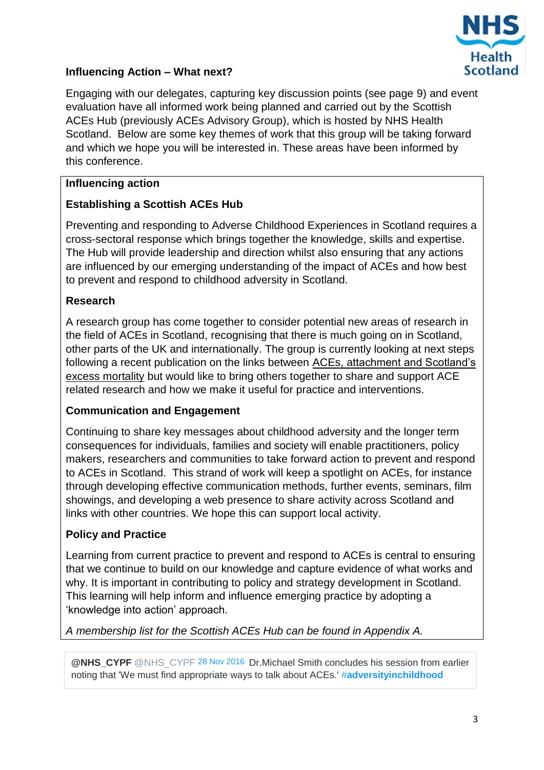

## <span id="page-2-0"></span>**Influencing Action – What next?**

Engaging with our delegates, capturing key discussion points (see page 9) and event evaluation have all informed work being planned and carried out by the Scottish ACEs Hub (previously ACEs Advisory Group), which is hosted by NHS Health Scotland. Below are some key themes of work that this group will be taking forward and which we hope you will be interested in. These areas have been informed by this conference.

## **Influencing action**

## **Establishing a Scottish ACEs Hub**

Preventing and responding to Adverse Childhood Experiences in Scotland requires a cross-sectoral response which brings together the knowledge, skills and expertise. The Hub will provide leadership and direction whilst also ensuring that any actions are influenced by our emerging understanding of the impact of ACEs and how best to prevent and respond to childhood adversity in Scotland.

#### **Research**

A research group has come together to consider potential new areas of research in the field of ACEs in Scotland, recognising that there is much going on in Scotland, other parts of the UK and internationally. The group is currently looking at next steps following a recent publication on the links between ACEs, [attachment and Scotland's](http://bmcpublichealth.biomedcentral.com/articles/10.1186/s12889-016-3201-z)  [excess mortality](http://bmcpublichealth.biomedcentral.com/articles/10.1186/s12889-016-3201-z) but would like to bring others together to share and support ACE related research and how we make it useful for practice and interventions.

#### **Communication and Engagement**

Continuing to share key messages about childhood adversity and the longer term consequences for individuals, families and society will enable practitioners, policy makers, researchers and communities to take forward action to prevent and respond to ACEs in Scotland. This strand of work will keep a spotlight on ACEs, for instance through developing effective communication methods, further events, seminars, film showings, and developing a web presence to share activity across Scotland and links with other countries. We hope this can support local activity.

#### **Policy and Practice**

Learning from current practice to prevent and respond to ACEs is central to ensuring that we continue to build on our knowledge and capture evidence of what works and why. It is important in contributing to policy and strategy development in Scotland. This learning will help inform and influence emerging practice by adopting a 'knowledge into action' approach.

*A membership list for the Scottish ACEs Hub can be found in Appendix A.*

**@NHS\_CYPF** [@NHS\\_CYPF](https://twitter.com/NHS_CYPF) [28 Nov 2016](https://twitter.com/NHS_CYPF) Dr.Michael Smith concludes his session from earlier noting that 'We must find appropriate ways to talk about ACEs.' #**[adversityinchildhood](https://twitter.com/hashtag/adversityinchildhood?src=hash)**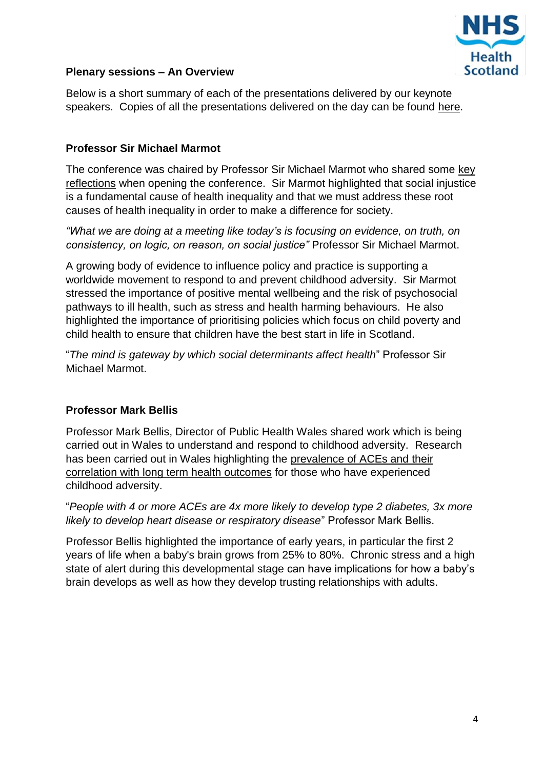

#### <span id="page-3-0"></span>**Plenary sessions – An Overview**

Below is a short summary of each of the presentations delivered by our keynote speakers. Copies of all the presentations delivered on the day can be found [here.](http://www.healthscotland.scot/publications/presentations-from-the-aces-conference)

#### **Professor Sir Michael Marmot**

The conference was chaired by Professor Sir Michael Marmot who shared some [key](http://www.healthscotland.scot/media/1266/1_michael-marmot-presentation.pdf)  [reflections](http://www.healthscotland.scot/media/1266/1_michael-marmot-presentation.pdf) when opening the conference. Sir Marmot highlighted that social injustice is a fundamental cause of health inequality and that we must address these root causes of health inequality in order to make a difference for society.

*"What we are doing at a meeting like today's is focusing on evidence, on truth, on consistency, on logic, on reason, on social justice"* Professor Sir Michael Marmot.

A growing body of evidence to influence policy and practice is supporting a worldwide movement to respond to and prevent childhood adversity. Sir Marmot stressed the importance of positive mental wellbeing and the risk of psychosocial pathways to ill health, such as stress and health harming behaviours. He also highlighted the importance of prioritising policies which focus on child poverty and child health to ensure that children have the best start in life in Scotland.

"*The mind is gateway by which social determinants affect health*" Professor Sir Michael Marmot.

#### **Professor Mark Bellis**

Professor Mark Bellis, Director of Public Health Wales shared work which is being carried out in Wales to understand and respond to childhood adversity. Research has been carried out in Wales highlighting the prevalence of ACEs and their correlation with long term health outcomes for those who have experienced childhood adversity.

"*People with 4 or more ACEs are 4x more likely to develop type 2 diabetes, 3x more likely to develop heart disease or respiratory disease*" Professor Mark Bellis.

Professor Bellis highlighted the importance of early years, in particular the first 2 years of life when a baby's brain grows from 25% to 80%. Chronic stress and a high state of alert during this developmental stage can have implications for how a baby's brain develops as well as how they develop trusting relationships with adults.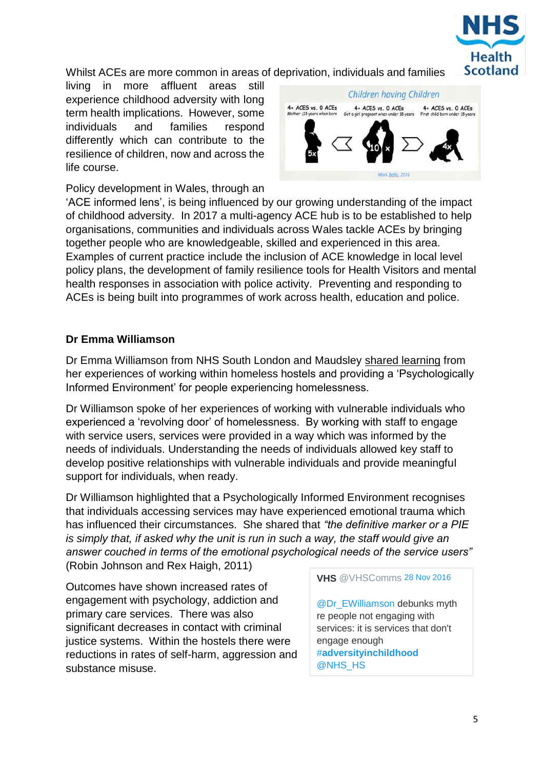

Whilst ACEs are more common in areas of deprivation, individuals and families

living in more affluent areas still experience childhood adversity with long term health implications. However, some individuals and families respond differently which can contribute to the resilience of children, now and across the life course.



Policy development in Wales, through an

'ACE informed lens', is being influenced by our growing understanding of the impact of childhood adversity. In 2017 a multi-agency ACE hub is to be established to help organisations, communities and individuals across Wales tackle ACEs by bringing together people who are knowledgeable, skilled and experienced in this area. Examples of current practice include the inclusion of ACE knowledge in local level policy plans, the development of family resilience tools for Health Visitors and mental health responses in association with police activity. Preventing and responding to ACEs is being built into programmes of work across health, education and police.

#### **Dr Emma Williamson**

Dr Emma Williamson from NHS South London and Maudsley [shared learning](http://www.healthscotland.scot/media/1268/3_emma-williamson-presentation-polishing-our-diamonds.pdf) from her experiences of working within homeless hostels and providing a 'Psychologically Informed Environment' for people experiencing homelessness.

Dr Williamson spoke of her experiences of working with vulnerable individuals who experienced a 'revolving door' of homelessness. By working with staff to engage with service users, services were provided in a way which was informed by the needs of individuals. Understanding the needs of individuals allowed key staff to develop positive relationships with vulnerable individuals and provide meaningful support for individuals, when ready.

Dr Williamson highlighted that a Psychologically Informed Environment recognises that individuals accessing services may have experienced emotional trauma which has influenced their circumstances. She shared that *"the definitive marker or a PIE is simply that, if asked why the unit is run in such a way, the staff would give an answer couched in terms of the emotional psychological needs of the service users"*  (Robin Johnson and Rex Haigh, 2011)

Outcomes have shown increased rates of engagement with psychology, addiction and primary care services. There was also significant decreases in contact with criminal justice systems. Within the hostels there were reductions in rates of self-harm, aggression and substance misuse.

**VHS** [@VHSComms](https://twitter.com/VHSComms) [28 Nov 2016](https://twitter.com/VHSComms)

[@Dr\\_EWilliamson](https://twitter.com/Dr_EWilliamson) debunks myth re people not engaging with services: it is services that don't engage enough #**[adversityinchildhood](https://twitter.com/hashtag/adversityinchildhood?src=hash)** [@NHS\\_HS](https://twitter.com/NHS_HS)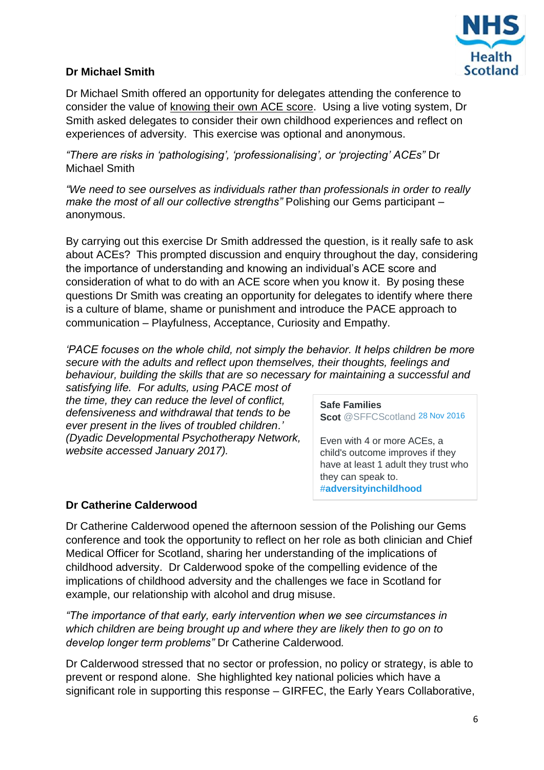

## **Dr Michael Smith**

Dr Michael Smith offered an opportunity for delegates attending the conference to consider the value of knowing their [own ACE score.](http://www.healthscotland.scot/media/1269/4_michael-smith-presentation-aces-to-diamonds.pdf) Using a live voting system, Dr Smith asked delegates to consider their own childhood experiences and reflect on experiences of adversity. This exercise was optional and anonymous.

*"There are risks in 'pathologising', 'professionalising', or 'projecting' ACEs"* Dr Michael Smith

*"We need to see ourselves as individuals rather than professionals in order to really make the most of all our collective strengths"* Polishing our Gems participant – anonymous.

By carrying out this exercise Dr Smith addressed the question, is it really safe to ask about ACEs? This prompted discussion and enquiry throughout the day, considering the importance of understanding and knowing an individual's ACE score and consideration of what to do with an ACE score when you know it. By posing these questions Dr Smith was creating an opportunity for delegates to identify where there is a culture of blame, shame or punishment and introduce the PACE approach to communication – Playfulness, Acceptance, Curiosity and Empathy.

*'PACE focuses on the whole child, not simply the behavior. It helps children be more secure with the adults and reflect upon themselves, their thoughts, feelings and behaviour, building the skills that are so necessary for maintaining a successful and* 

*satisfying life. For adults, using PACE most of the time, they can reduce the level of conflict, defensiveness and withdrawal that tends to be ever present in the lives of troubled children.' (Dyadic Developmental Psychotherapy Network, website accessed January 2017).* 

1. **[Safe Families](https://twitter.com/SFFCScotland)  Scot** [@SFFCScotland](https://twitter.com/SFFCScotland) [28 Nov 2016](https://twitter.com/SFFCScotland/status/803180824531087360)

Even with 4 or more ACEs, a child's outcome improves if they have at least 1 adult they trust who they can speak to. #**[adversityinchildhood](https://twitter.com/hashtag/adversityinchildhood?src=hash)**

#### **Dr Catherine Calderwood**

Dr Catherine Calderwood opened the afternoon session of the Polishing our Gems conference and took the opportunity to reflect on her role as both clinician and Chief Medical Officer for Scotland, sharing her understanding of the implications of childhood adversity. Dr Calderwood spoke of the compelling evidence of the implications of childhood adversity and the challenges we face in Scotland for example, our relationship with alcohol and drug misuse.

*"The importance of that early, early intervention when we see circumstances in which children are being brought up and where they are likely then to go on to develop longer term problems"* Dr Catherine Calderwood*.*

Dr Calderwood stressed that no sector or profession, no policy or strategy, is able to prevent or respond alone. She highlighted key national policies which have a significant role in supporting this response – GIRFEC, the Early Years Collaborative,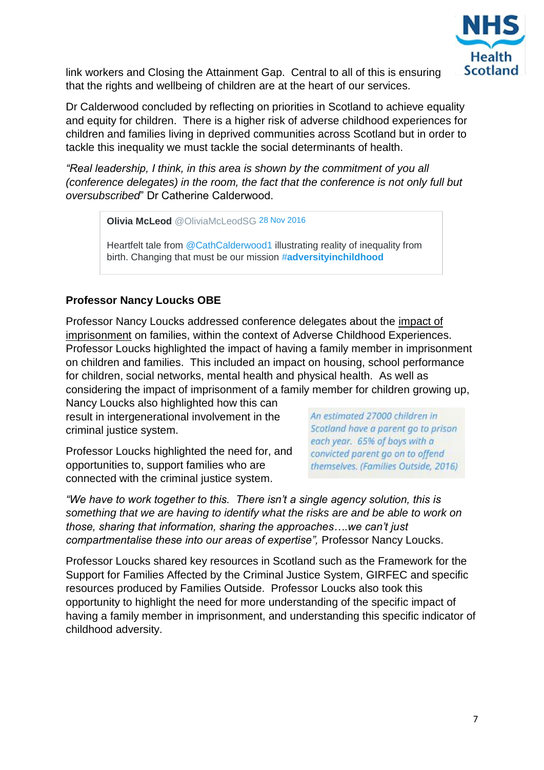

link workers and Closing the Attainment Gap. Central to all of this is ensuring that the rights and wellbeing of children are at the heart of our services.

Dr Calderwood concluded by reflecting on priorities in Scotland to achieve equality and equity for children. There is a higher risk of adverse childhood experiences for children and families living in deprived communities across Scotland but in order to tackle this inequality we must tackle the social determinants of health.

*"Real leadership, I think, in this area is shown by the commitment of you all (conference delegates) in the room, the fact that the conference is not only full but oversubscribed*" Dr Catherine Calderwood.

1. **Olivia McLeod** [@OliviaMcLeodSG](https://twitter.com/OliviaMcLeodSG) [28 Nov 2016](https://twitter.com/OliviaMcLeodSG)

Heartfelt tale from [@CathCalderwood1](https://twitter.com/CathCalderwood1) illustrating reality of inequality from birth. Changing that must be our mission #**[adversityinchildhood](https://twitter.com/hashtag/adversityinchildhood?src=hash)**

## **Professor Nancy Loucks OBE**

Professor Nancy Loucks addressed conference delegates about the impact of imprisonment on families, within the context of Adverse Childhood Experiences. Professor Loucks highlighted the impact of having a family member in imprisonment on children and families. This included an impact on housing, school performance for children, social networks, mental health and physical health. As well as considering the impact of imprisonment of a family member for children growing up,

Nancy Loucks also highlighted how this can result in intergenerational involvement in the criminal justice system.

Professor Loucks highlighted the need for, and opportunities to, support families who are connected with the criminal justice system.

An estimated 27000 children in Scotland have a parent go to prison each year. 65% of boys with a convicted parent go on to offend themselves. (Families Outside, 2016)

*"We have to work together to this. There isn't a single agency solution, this is something that we are having to identify what the risks are and be able to work on those, sharing that information, sharing the approaches….we can't just compartmentalise these into our areas of expertise",* Professor Nancy Loucks.

Professor Loucks shared key resources in Scotland such as the Framework for the Support for Families Affected by the Criminal Justice System, GIRFEC and specific resources produced by Families Outside. Professor Loucks also took this opportunity to highlight the need for more understanding of the specific impact of having a family member in imprisonment, and understanding this specific indicator of childhood adversity.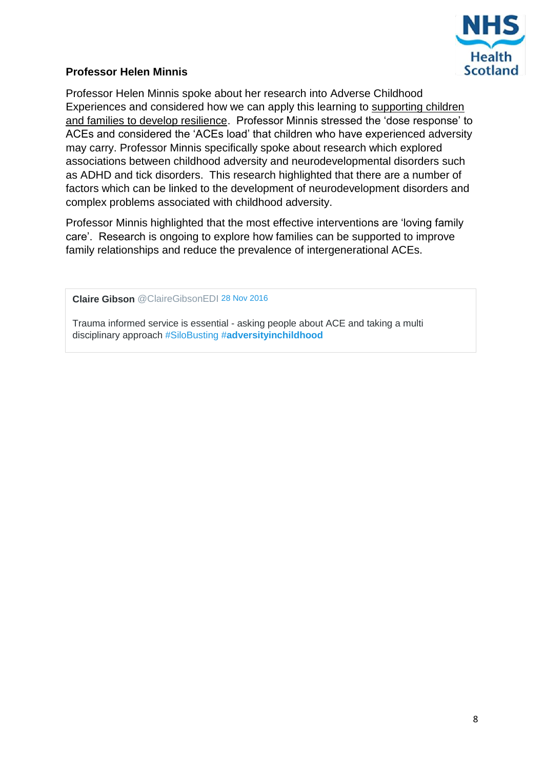

## **Professor Helen Minnis**

Professor Helen Minnis spoke about her research into Adverse Childhood Experiences and considered how we can apply this learning to supporting children and families to develop resilience. Professor Minnis stressed the 'dose response' to ACEs and considered the 'ACEs load' that children who have experienced adversity may carry. Professor Minnis specifically spoke about research which explored associations between childhood adversity and neurodevelopmental disorders such as ADHD and tick disorders. This research highlighted that there are a number of factors which can be linked to the development of neurodevelopment disorders and complex problems associated with childhood adversity.

Professor Minnis highlighted that the most effective interventions are 'loving family care'. Research is ongoing to explore how families can be supported to improve family relationships and reduce the prevalence of intergenerational ACEs.

1. **Claire Gibson** [@ClaireGibsonEDI](https://twitter.com/ClaireGibsonEDI) [28 Nov 2016](https://twitter.com/ClaireGibsonEDI)

Trauma informed service is essential - asking people about ACE and taking a multi disciplinary approach [#SiloBusting](https://twitter.com/hashtag/SiloBusting?src=hash) #**[adversityinchildhood](https://twitter.com/hashtag/adversityinchildhood?src=hash)**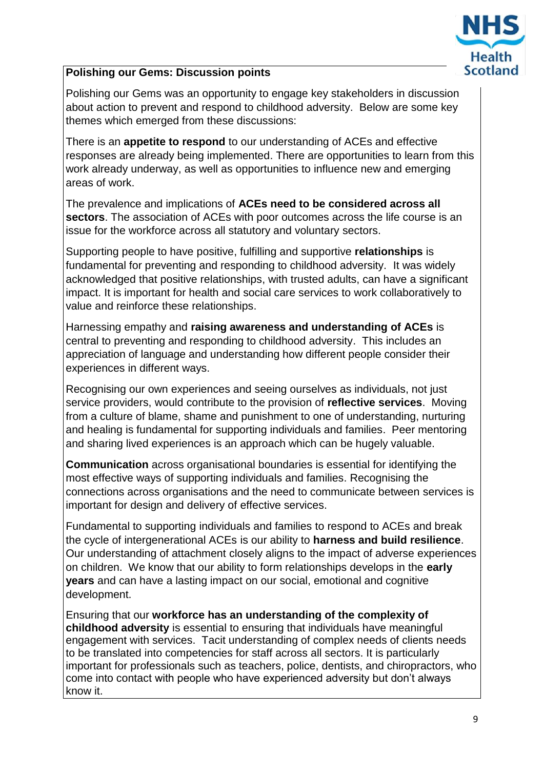

## <span id="page-8-0"></span>**Polishing our Gems: Discussion points**

Polishing our Gems was an opportunity to engage key stakeholders in discussion about action to prevent and respond to childhood adversity. Below are some key themes which emerged from these discussions:

There is an **appetite to respond** to our understanding of ACEs and effective responses are already being implemented. There are opportunities to learn from this work already underway, as well as opportunities to influence new and emerging areas of work.

The prevalence and implications of **ACEs need to be considered across all sectors**. The association of ACEs with poor outcomes across the life course is an issue for the workforce across all statutory and voluntary sectors.

Supporting people to have positive, fulfilling and supportive **relationships** is fundamental for preventing and responding to childhood adversity. It was widely acknowledged that positive relationships, with trusted adults, can have a significant impact. It is important for health and social care services to work collaboratively to value and reinforce these relationships.

Harnessing empathy and **raising awareness and understanding of ACEs** is central to preventing and responding to childhood adversity. This includes an appreciation of language and understanding how different people consider their experiences in different ways.

Recognising our own experiences and seeing ourselves as individuals, not just service providers, would contribute to the provision of **reflective services**. Moving from a culture of blame, shame and punishment to one of understanding, nurturing and healing is fundamental for supporting individuals and families. Peer mentoring and sharing lived experiences is an approach which can be hugely valuable.

**Communication** across organisational boundaries is essential for identifying the most effective ways of supporting individuals and families. Recognising the connections across organisations and the need to communicate between services is important for design and delivery of effective services.

Fundamental to supporting individuals and families to respond to ACEs and break the cycle of intergenerational ACEs is our ability to **harness and build resilience**. Our understanding of attachment closely aligns to the impact of adverse experiences on children. We know that our ability to form relationships develops in the **early years** and can have a lasting impact on our social, emotional and cognitive development.

Ensuring that our **workforce has an understanding of the complexity of childhood adversity** is essential to ensuring that individuals have meaningful engagement with services. Tacit understanding of complex needs of clients needs to be translated into competencies for staff across all sectors. It is particularly important for professionals such as teachers, police, dentists, and chiropractors, who come into contact with people who have experienced adversity but don't always know it.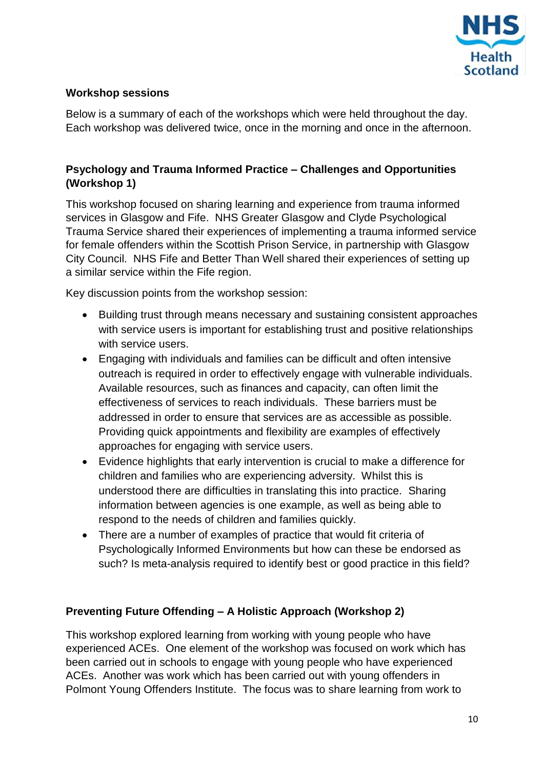

#### <span id="page-9-0"></span>**Workshop sessions**

Below is a summary of each of the workshops which were held throughout the day. Each workshop was delivered twice, once in the morning and once in the afternoon.

## **Psychology and Trauma Informed Practice – Challenges and Opportunities (Workshop 1)**

This workshop focused on sharing learning and experience from trauma informed services in Glasgow and Fife. NHS Greater Glasgow and Clyde Psychological Trauma Service shared their experiences of implementing a trauma informed service for female offenders within the Scottish Prison Service, in partnership with Glasgow City Council. NHS Fife and Better Than Well shared their experiences of setting up a similar service within the Fife region.

Key discussion points from the workshop session:

- Building trust through means necessary and sustaining consistent approaches with service users is important for establishing trust and positive relationships with service users.
- Engaging with individuals and families can be difficult and often intensive outreach is required in order to effectively engage with vulnerable individuals. Available resources, such as finances and capacity, can often limit the effectiveness of services to reach individuals. These barriers must be addressed in order to ensure that services are as accessible as possible. Providing quick appointments and flexibility are examples of effectively approaches for engaging with service users.
- Evidence highlights that early intervention is crucial to make a difference for children and families who are experiencing adversity. Whilst this is understood there are difficulties in translating this into practice. Sharing information between agencies is one example, as well as being able to respond to the needs of children and families quickly.
- There are a number of examples of practice that would fit criteria of Psychologically Informed Environments but how can these be endorsed as such? Is meta-analysis required to identify best or good practice in this field?

#### **Preventing Future Offending – A Holistic Approach (Workshop 2)**

This workshop explored learning from working with young people who have experienced ACEs. One element of the workshop was focused on work which has been carried out in schools to engage with young people who have experienced ACEs. Another was work which has been carried out with young offenders in Polmont Young Offenders Institute. The focus was to share learning from work to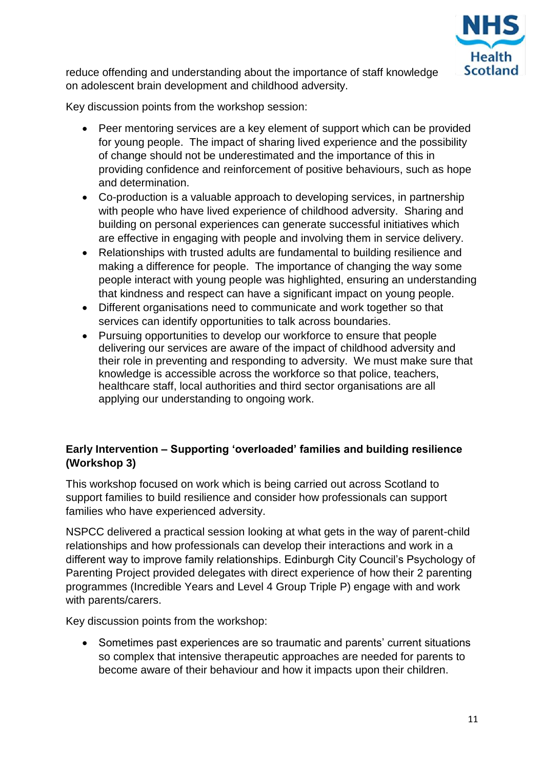

reduce offending and understanding about the importance of staff knowledge on adolescent brain development and childhood adversity.

Key discussion points from the workshop session:

- Peer mentoring services are a key element of support which can be provided for young people. The impact of sharing lived experience and the possibility of change should not be underestimated and the importance of this in providing confidence and reinforcement of positive behaviours, such as hope and determination.
- Co-production is a valuable approach to developing services, in partnership with people who have lived experience of childhood adversity. Sharing and building on personal experiences can generate successful initiatives which are effective in engaging with people and involving them in service delivery.
- Relationships with trusted adults are fundamental to building resilience and making a difference for people. The importance of changing the way some people interact with young people was highlighted, ensuring an understanding that kindness and respect can have a significant impact on young people.
- Different organisations need to communicate and work together so that services can identify opportunities to talk across boundaries.
- Pursuing opportunities to develop our workforce to ensure that people delivering our services are aware of the impact of childhood adversity and their role in preventing and responding to adversity. We must make sure that knowledge is accessible across the workforce so that police, teachers, healthcare staff, local authorities and third sector organisations are all applying our understanding to ongoing work.

## **Early Intervention – Supporting 'overloaded' families and building resilience (Workshop 3)**

This workshop focused on work which is being carried out across Scotland to support families to build resilience and consider how professionals can support families who have experienced adversity.

NSPCC delivered a practical session looking at what gets in the way of parent-child relationships and how professionals can develop their interactions and work in a different way to improve family relationships. Edinburgh City Council's Psychology of Parenting Project provided delegates with direct experience of how their 2 parenting programmes (Incredible Years and Level 4 Group Triple P) engage with and work with parents/carers.

Key discussion points from the workshop:

• Sometimes past experiences are so traumatic and parents' current situations so complex that intensive therapeutic approaches are needed for parents to become aware of their behaviour and how it impacts upon their children.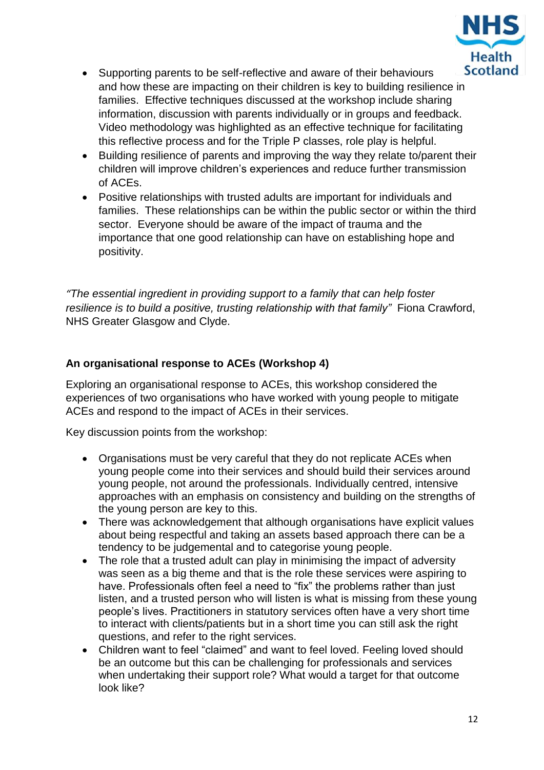

- Supporting parents to be self-reflective and aware of their behaviours and how these are impacting on their children is key to building resilience in families. Effective techniques discussed at the workshop include sharing information, discussion with parents individually or in groups and feedback. Video methodology was highlighted as an effective technique for facilitating this reflective process and for the Triple P classes, role play is helpful.
- Building resilience of parents and improving the way they relate to/parent their children will improve children's experiences and reduce further transmission of ACEs.
- Positive relationships with trusted adults are important for individuals and families. These relationships can be within the public sector or within the third sector. Everyone should be aware of the impact of trauma and the importance that one good relationship can have on establishing hope and positivity.

*"The essential ingredient in providing support to a family that can help foster resilience is to build a positive, trusting relationship with that family"* Fiona Crawford, NHS Greater Glasgow and Clyde.

## **An organisational response to ACEs (Workshop 4)**

Exploring an organisational response to ACEs, this workshop considered the experiences of two organisations who have worked with young people to mitigate ACEs and respond to the impact of ACEs in their services.

Key discussion points from the workshop:

- Organisations must be very careful that they do not replicate ACEs when young people come into their services and should build their services around young people, not around the professionals. Individually centred, intensive approaches with an emphasis on consistency and building on the strengths of the young person are key to this.
- There was acknowledgement that although organisations have explicit values about being respectful and taking an assets based approach there can be a tendency to be judgemental and to categorise young people.
- The role that a trusted adult can play in minimising the impact of adversity was seen as a big theme and that is the role these services were aspiring to have. Professionals often feel a need to "fix" the problems rather than just listen, and a trusted person who will listen is what is missing from these young people's lives. Practitioners in statutory services often have a very short time to interact with clients/patients but in a short time you can still ask the right questions, and refer to the right services.
- Children want to feel "claimed" and want to feel loved. Feeling loved should be an outcome but this can be challenging for professionals and services when undertaking their support role? What would a target for that outcome look like?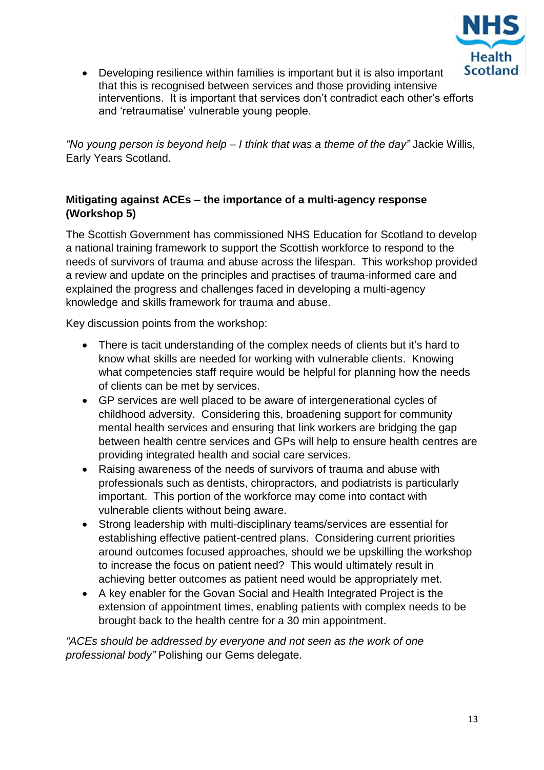

 Developing resilience within families is important but it is also important that this is recognised between services and those providing intensive interventions. It is important that services don't contradict each other's efforts and 'retraumatise' vulnerable young people.

*"No young person is beyond help – I think that was a theme of the day"* Jackie Willis, Early Years Scotland.

## **Mitigating against ACEs – the importance of a multi-agency response (Workshop 5)**

The Scottish Government has commissioned NHS Education for Scotland to develop a national training framework to support the Scottish workforce to respond to the needs of survivors of trauma and abuse across the lifespan. This workshop provided a review and update on the principles and practises of trauma-informed care and explained the progress and challenges faced in developing a multi-agency knowledge and skills framework for trauma and abuse.

Key discussion points from the workshop:

- There is tacit understanding of the complex needs of clients but it's hard to know what skills are needed for working with vulnerable clients. Knowing what competencies staff require would be helpful for planning how the needs of clients can be met by services.
- GP services are well placed to be aware of intergenerational cycles of childhood adversity. Considering this, broadening support for community mental health services and ensuring that link workers are bridging the gap between health centre services and GPs will help to ensure health centres are providing integrated health and social care services.
- Raising awareness of the needs of survivors of trauma and abuse with professionals such as dentists, chiropractors, and podiatrists is particularly important. This portion of the workforce may come into contact with vulnerable clients without being aware.
- Strong leadership with multi-disciplinary teams/services are essential for establishing effective patient-centred plans. Considering current priorities around outcomes focused approaches, should we be upskilling the workshop to increase the focus on patient need? This would ultimately result in achieving better outcomes as patient need would be appropriately met.
- A key enabler for the Govan Social and Health Integrated Project is the extension of appointment times, enabling patients with complex needs to be brought back to the health centre for a 30 min appointment.

*"ACEs should be addressed by everyone and not seen as the work of one professional body"* Polishing our Gems delegate*.*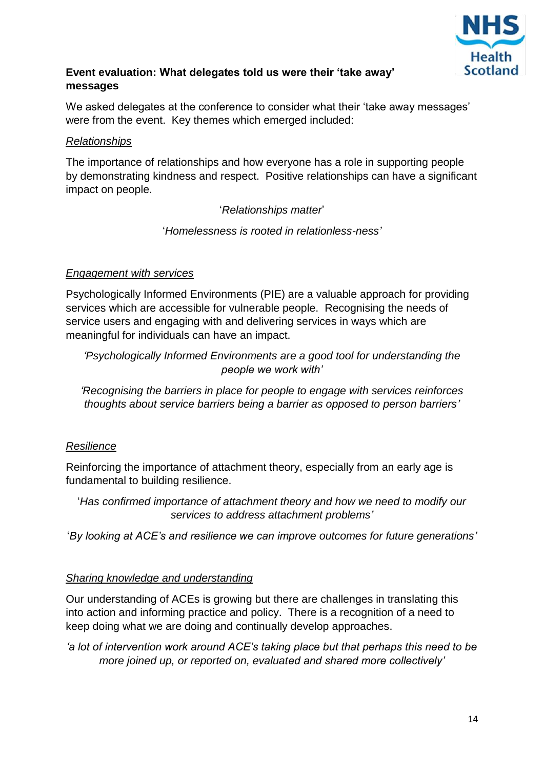

## <span id="page-13-0"></span>**Event evaluation: What delegates told us were their 'take away' messages**

We asked delegates at the conference to consider what their 'take away messages' were from the event. Key themes which emerged included:

#### *Relationships*

The importance of relationships and how everyone has a role in supporting people by demonstrating kindness and respect. Positive relationships can have a significant impact on people.

## '*Relationships matter*'

'*Homelessness is rooted in relationless-ness'*

#### *Engagement with services*

Psychologically Informed Environments (PIE) are a valuable approach for providing services which are accessible for vulnerable people. Recognising the needs of service users and engaging with and delivering services in ways which are meaningful for individuals can have an impact.

*'Psychologically Informed Environments are a good tool for understanding the people we work with'*

*'Recognising the barriers in place for people to engage with services reinforces thoughts about service barriers being a barrier as opposed to person barriers'*

#### *Resilience*

Reinforcing the importance of attachment theory, especially from an early age is fundamental to building resilience.

'*Has confirmed importance of attachment theory and how we need to modify our services to address attachment problems'*

'*By looking at ACE's and resilience we can improve outcomes for future generations'*

#### *Sharing knowledge and understanding*

Our understanding of ACEs is growing but there are challenges in translating this into action and informing practice and policy. There is a recognition of a need to keep doing what we are doing and continually develop approaches.

*'a lot of intervention work around ACE's taking place but that perhaps this need to be more joined up, or reported on, evaluated and shared more collectively'*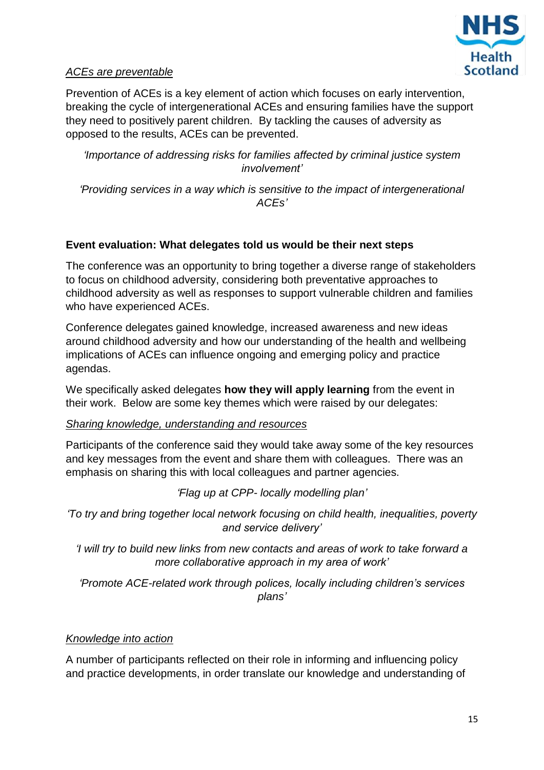

#### *ACEs are preventable*

Prevention of ACEs is a key element of action which focuses on early intervention, breaking the cycle of intergenerational ACEs and ensuring families have the support they need to positively parent children. By tackling the causes of adversity as opposed to the results, ACEs can be prevented.

*'Importance of addressing risks for families affected by criminal justice system involvement'*

*'Providing services in a way which is sensitive to the impact of intergenerational ACEs'*

#### <span id="page-14-0"></span>**Event evaluation: What delegates told us would be their next steps**

The conference was an opportunity to bring together a diverse range of stakeholders to focus on childhood adversity, considering both preventative approaches to childhood adversity as well as responses to support vulnerable children and families who have experienced ACEs.

Conference delegates gained knowledge, increased awareness and new ideas around childhood adversity and how our understanding of the health and wellbeing implications of ACEs can influence ongoing and emerging policy and practice agendas.

We specifically asked delegates **how they will apply learning** from the event in their work. Below are some key themes which were raised by our delegates:

#### *Sharing knowledge, understanding and resources*

Participants of the conference said they would take away some of the key resources and key messages from the event and share them with colleagues. There was an emphasis on sharing this with local colleagues and partner agencies.

*'Flag up at CPP- locally modelling plan'*

*'To try and bring together local network focusing on child health, inequalities, poverty and service delivery'*

*'I will try to build new links from new contacts and areas of work to take forward a more collaborative approach in my area of work'*

*'Promote ACE-related work through polices, locally including children's services plans'*

#### *Knowledge into action*

A number of participants reflected on their role in informing and influencing policy and practice developments, in order translate our knowledge and understanding of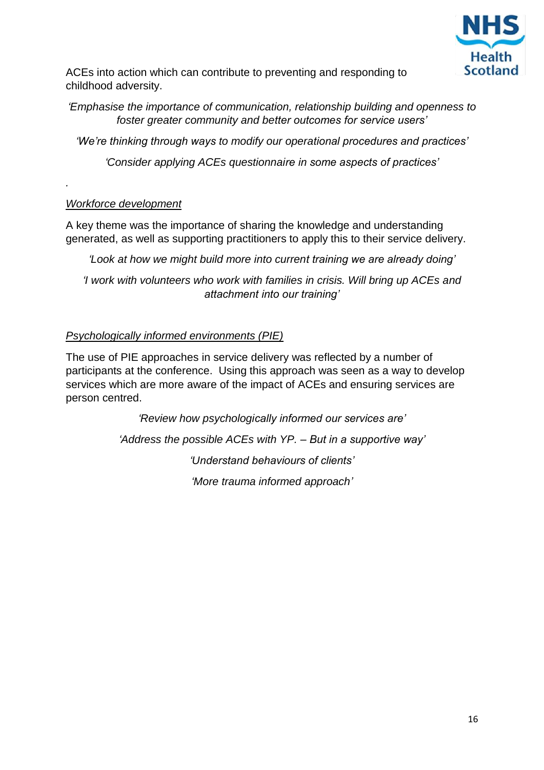

ACEs into action which can contribute to preventing and responding to childhood adversity.

*'Emphasise the importance of communication, relationship building and openness to foster greater community and better outcomes for service users'*

*'We're thinking through ways to modify our operational procedures and practices'*

*'Consider applying ACEs questionnaire in some aspects of practices'*

#### *Workforce development*

*.*

A key theme was the importance of sharing the knowledge and understanding generated, as well as supporting practitioners to apply this to their service delivery.

*'Look at how we might build more into current training we are already doing'*

*'I work with volunteers who work with families in crisis. Will bring up ACEs and attachment into our training'*

## *Psychologically informed environments (PIE)*

The use of PIE approaches in service delivery was reflected by a number of participants at the conference. Using this approach was seen as a way to develop services which are more aware of the impact of ACEs and ensuring services are person centred.

*'Review how psychologically informed our services are'*

*'Address the possible ACEs with YP. – But in a supportive way'*

*'Understand behaviours of clients'*

*'More trauma informed approach'*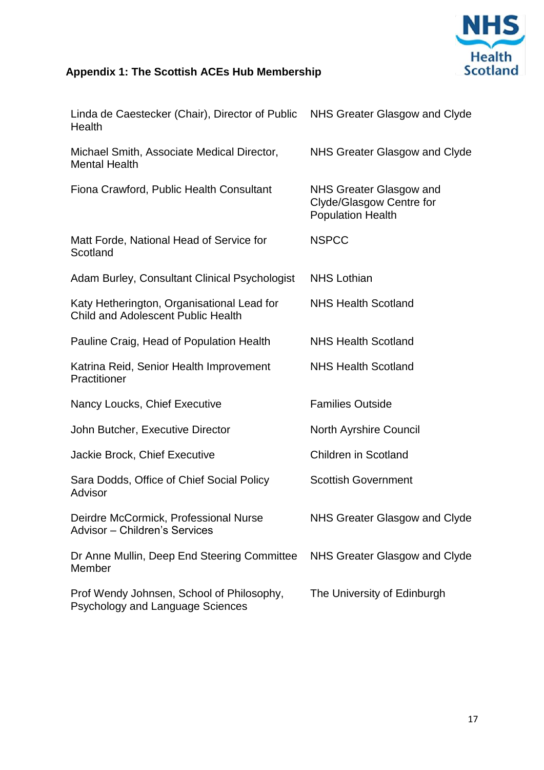

# <span id="page-16-0"></span>**Appendix 1: The Scottish ACEs Hub Membership**

| Linda de Caestecker (Chair), Director of Public NHS Greater Glasgow and Clyde<br>Health |                                                                                        |
|-----------------------------------------------------------------------------------------|----------------------------------------------------------------------------------------|
| Michael Smith, Associate Medical Director,<br><b>Mental Health</b>                      | NHS Greater Glasgow and Clyde                                                          |
| Fiona Crawford, Public Health Consultant                                                | <b>NHS Greater Glasgow and</b><br>Clyde/Glasgow Centre for<br><b>Population Health</b> |
| Matt Forde, National Head of Service for<br>Scotland                                    | <b>NSPCC</b>                                                                           |
| Adam Burley, Consultant Clinical Psychologist                                           | <b>NHS Lothian</b>                                                                     |
| Katy Hetherington, Organisational Lead for<br><b>Child and Adolescent Public Health</b> | <b>NHS Health Scotland</b>                                                             |
| Pauline Craig, Head of Population Health                                                | <b>NHS Health Scotland</b>                                                             |
| Katrina Reid, Senior Health Improvement<br>Practitioner                                 | <b>NHS Health Scotland</b>                                                             |
| Nancy Loucks, Chief Executive                                                           | <b>Families Outside</b>                                                                |
| John Butcher, Executive Director                                                        | <b>North Ayrshire Council</b>                                                          |
| Jackie Brock, Chief Executive                                                           | <b>Children in Scotland</b>                                                            |
| Sara Dodds, Office of Chief Social Policy<br>Advisor                                    | <b>Scottish Government</b>                                                             |
| Deirdre McCormick, Professional Nurse<br>Advisor - Children's Services                  | <b>NHS Greater Glasgow and Clyde</b>                                                   |
| Dr Anne Mullin, Deep End Steering Committee<br>Member                                   | NHS Greater Glasgow and Clyde                                                          |
| Prof Wendy Johnsen, School of Philosophy,<br><b>Psychology and Language Sciences</b>    | The University of Edinburgh                                                            |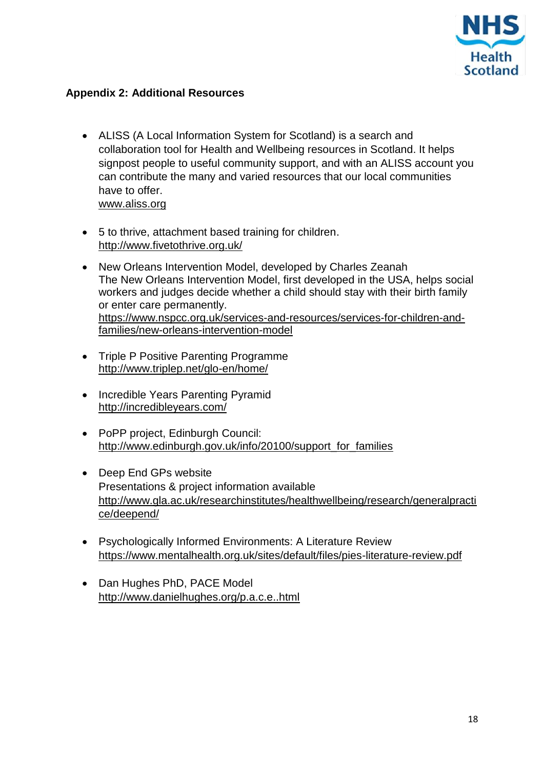

## <span id="page-17-0"></span>**Appendix 2: Additional Resources**

- ALISS (A Local Information System for Scotland) is a search and collaboration tool for Health and Wellbeing resources in Scotland. It helps signpost people to useful community support, and with an ALISS account you can contribute the many and varied resources that our local communities have to offer. [www.aliss.org](http://www.aliss.org/)
- 5 to thrive, attachment based training for children. <http://www.fivetothrive.org.uk/>
- New Orleans Intervention Model, developed by Charles Zeanah The New Orleans Intervention Model, first developed in the USA, helps social workers and judges decide whether a child should stay with their birth family or enter care permanently. [https://www.nspcc.org.uk/services-and-resources/services-for-children-and](https://www.nspcc.org.uk/services-and-resources/services-for-children-and-families/new-orleans-intervention-model)[families/new-orleans-intervention-model](https://www.nspcc.org.uk/services-and-resources/services-for-children-and-families/new-orleans-intervention-model)
- Triple P Positive Parenting Programme <http://www.triplep.net/glo-en/home/>
- Incredible Years Parenting Pyramid <http://incredibleyears.com/>
- PoPP project, Edinburgh Council: [http://www.edinburgh.gov.uk/info/20100/support\\_for\\_families](http://www.edinburgh.gov.uk/info/20100/support_for_families)
- Deep End GPs website Presentations & project information available [http://www.gla.ac.uk/researchinstitutes/healthwellbeing/research/generalpracti](http://www.gla.ac.uk/researchinstitutes/healthwellbeing/research/generalpractice/deepend/) [ce/deepend/](http://www.gla.ac.uk/researchinstitutes/healthwellbeing/research/generalpractice/deepend/)
- Psychologically Informed Environments: A Literature Review <https://www.mentalhealth.org.uk/sites/default/files/pies-literature-review.pdf>
- Dan Hughes PhD, PACE Model <http://www.danielhughes.org/p.a.c.e..html>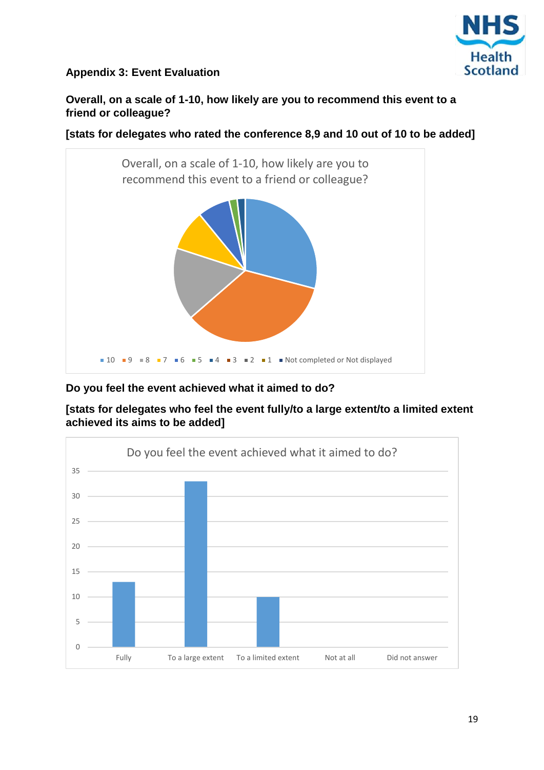

## <span id="page-18-0"></span>**Appendix 3: Event Evaluation**

**Overall, on a scale of 1-10, how likely are you to recommend this event to a friend or colleague?**

**[stats for delegates who rated the conference 8,9 and 10 out of 10 to be added]**



## **Do you feel the event achieved what it aimed to do?**

**[stats for delegates who feel the event fully/to a large extent/to a limited extent achieved its aims to be added]**